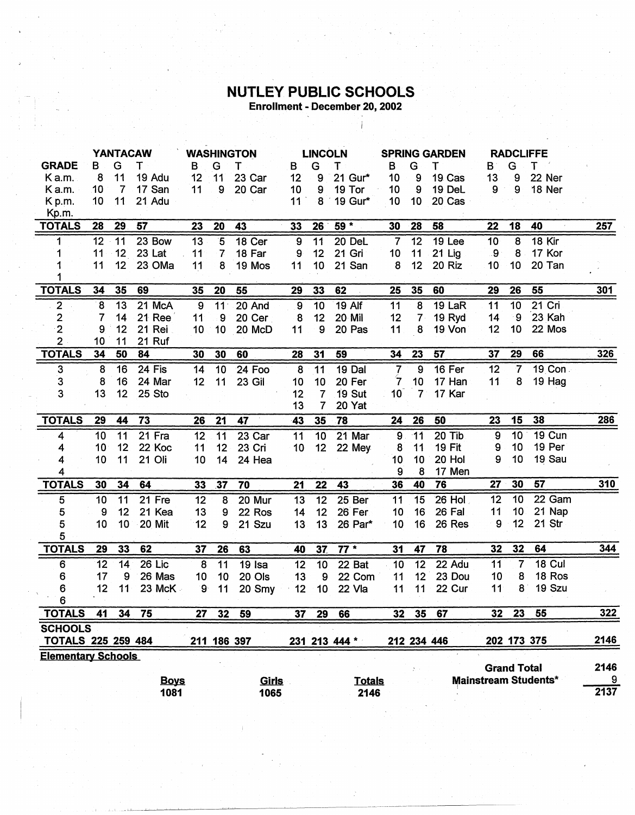## **NUTLEY PUBLIC SCHOOLS**<br>Enrollment - December 20, 2002

|                           | <b>YANTACAW</b>  |                |                     |                 |                         | <b>WASHINGTON</b> |                 |                 | <b>LINCOLN</b>        |                 | <b>SPRING GARDEN</b> |               |                 | <b>RADCLIFFE</b>   |                             |            |
|---------------------------|------------------|----------------|---------------------|-----------------|-------------------------|-------------------|-----------------|-----------------|-----------------------|-----------------|----------------------|---------------|-----------------|--------------------|-----------------------------|------------|
| <b>GRADE</b>              | в                | G              | т                   | B               | G                       | т                 | в               | G               | Τ                     | в               | G                    | т             | B               | G                  | Т                           |            |
| Ka.m.                     | 8                | 11             | 19 Adu              | 12              | 11                      | 23 Car            | 12              | 9               | 21 Gur*               | 10              | 9                    | 19 Cas        | 13              | 9                  | 22 Ner                      |            |
| K a.m.                    | 10               | $\overline{7}$ | 17 San              | 11              | $\boldsymbol{9}$        | 20 Car            | 10              | 9               | 19 Tor                | 10              | 9                    | 19 DeL        | 9               | 9                  | 18 Ner                      |            |
| Kp.m.                     | 10               | 11             | 21 Adu              |                 |                         |                   | 11              | 8               | 19 Gur*               | 10              | 10 <sup>°</sup>      | 20 Cas        |                 |                    |                             |            |
| Kp.m.                     |                  |                |                     |                 |                         |                   |                 |                 |                       |                 |                      |               |                 |                    |                             |            |
| TOTALS                    | 28               | 29             | 57                  | 23              | 20                      | 43                | 33              | 26              | 59 *                  | 30              | 28                   | 58            | 22              | 18                 | 40                          | <u>257</u> |
| 1                         | 12               | 11             | 23 Bow              | $\overline{13}$ | $\overline{\mathbf{5}}$ | 18 Cer            | $\overline{9}$  | 11              | 20 DeL                | $\overline{7}$  | 12                   | <b>19 Lee</b> | $\overline{10}$ | $\overline{8}$     | <b>18 Kir</b>               |            |
| 1                         | 11               | 12             | 23 Lat              | 11              | $\overline{7}$          | 18 Far            | 9               | 12              | 21 Gri                | 10              | 11                   | $21$ Lig      | .9              | 8                  | 17 Kor                      |            |
|                           | 11               | 12             | 23 OMa              | 11              | 8                       | 19 Mos            | 11              | 10              | 21 San                | 8               | 12                   | 20 Riz        | 10 <sup>1</sup> | 10                 | 20 Tan                      |            |
| <b>TOTALS</b>             | 34               | 35             | 69                  | 35              | 20                      | 55                | 29              | 33              | 62                    | 25              | 35                   | 60            | 29              | 26                 | 55                          | 301        |
| $\overline{2}$            | $\boldsymbol{8}$ | 13             | 21 McA              | 9               | 11 <sup>1</sup>         | 20 And            | 9               | 10              | $19$ Alf              | 11              | 8                    | 19 LaR        | 11              | 10                 | $21$ Cri                    |            |
| 2                         | 7                | 14             | 21 Ree              | 11              | 9                       | 20 Cer            | 8               | 12              | 20 Mil                | 12              | 7 <sup>1</sup>       | 19 Ryd        | 14              | ୍ର                 | 23 Kah                      |            |
| $\overline{\mathbf{c}}$   | 9                | 12             | 21 Rei              | 10              | 10 <sub>1</sub>         | 20 McD            | 11              | 9               | 20 Pas                | 11              | 8                    | 19 Von        | 12              | 10                 | 22 Mos                      |            |
| $\overline{2}$            | 10               | 11             | 21 Ruf              |                 |                         |                   |                 |                 |                       |                 |                      |               |                 |                    |                             |            |
| <b>TOTALS</b>             | 34               | 50             | 84                  | 30              | 30                      | 60                | 28              | 31              | 59                    | 34              | 23                   | 57            | 37              | 29                 | 66                          | 326        |
| $\overline{3}$            | 8                | 16             | 24 Fis              | 14              | $\overline{10}$         | 24 Foo            | $\overline{8}$  | $\overline{11}$ | <b>19 Dal</b>         | $\overline{7}$  | 9                    | $16$ Fer      | 12              | $\overline{7}$     | 19 Con -                    |            |
| $\mathbf{3}$              | 8                | 16             | 24 Mar              | 12              | 11                      | 23 Gil            | 10              | 10              | 20 Fer                | 7               | 10 <sub>1</sub>      | 17 Han        | 11              | 8                  | 19 Hag                      |            |
| 3                         | 13               | 12             | 25 Sto              |                 |                         |                   | 12              | 7               | <b>19 Sut</b>         | 10 <sup>1</sup> | $7^{\circ}$          | 17 Kar        |                 |                    |                             |            |
|                           |                  |                |                     |                 |                         |                   | 13              | $\overline{7}$  | 20 Yat                |                 |                      |               |                 |                    |                             |            |
| <b>TOTALS</b>             | 29               | 44             | 73                  | 26              | 21                      | 47                | 43              | 35              | 78                    | 24              | 26                   | 50            | 23              | 15                 | 38                          | 286        |
| 4                         | 10               | 11             | 21 Fra              | 12              | 11                      | 23 Car            | 11              | 10              | 21 Mar                | $\overline{9}$  | $-11$                | $20$ Tib      | 9               | 10                 | 19 Cun                      |            |
| 4                         | 10               | 12             | 22 Koc              | 11              | 12                      | 23 Cri            | 10 <sub>1</sub> | 12              | 22 Mey                | 8               | 11                   | <b>19 Fit</b> | 9               | 10                 | 19 Per                      |            |
| 4                         | 10               | 11             | 21 Oli              | 10              | 14                      | 24 Hea            |                 |                 |                       | 10              | 10 <sub>1</sub>      | 20 Hol        | 9               | 10                 | 19 Sau                      |            |
| 4                         |                  |                |                     |                 |                         |                   |                 |                 |                       | 9               | 8                    | 17 Men        |                 |                    |                             |            |
| <b>TOTALS</b>             | 30               | 34             | 64                  | 33              | 37                      | 70                | 21              | 22              | 43                    | 36              | 40                   | 76            | $27 -$          | 30                 | 57                          | 310        |
| 5                         | 10               | 11             | 21 Fre              | 12              | 8                       | 20 Mur            | 13              | 12              | 25 Ber                | 11              | 15                   | 26 Hol        | 12              | 10                 | 22 Gam                      |            |
| 5                         | 9                | 12             | 21 Kea              | 13              | 9                       | 22 Ros            | 14              | 12              | 26 Fer                | 10              | 16                   | <b>26 Fal</b> | 11              | 10                 | 21 Nap                      |            |
| 5                         | 10               | 10             | 20 Mit              | 12              | 9                       | 21 Szu            | 13              | 13              | 26 Par*               | 10              | 16                   | 26 Res        | 9               | 12                 | 21 Str                      |            |
| $\overline{5}$            |                  |                |                     |                 |                         |                   |                 |                 |                       |                 |                      |               |                 |                    |                             |            |
| <b>TOTALS</b>             | 29               | 33             | 62                  | 37              | 26                      | 63                | 40              | 37              | $77*$                 | 31              | 47                   | 78            | 32              | 32                 | 64                          | 344        |
| 6                         | 12               | 14             | 26 Lic              | 8               | 11                      | 19 Isa            | $\overline{12}$ | $\overline{10}$ | $22$ Bat              | 10              | $\overline{12}$      | 22 Adu        | 11              | 7                  | 18 Cul                      |            |
| 6                         | 17               | 9              | 26 Mas              | 10              | 10                      | 20 Ols            | 13              | 9               | 22 Com                | 11              | 12                   | 23 Dou        | 10              | 8                  | 18 Ros                      |            |
| 6                         | 12               | 11             | 23 McK              | <b>g</b>        | 11                      | 20 Smy            | 12              | 10 <sub>1</sub> | 22 Vla                | 11              | 11                   | 22 Cur        | 11              | 8                  | 19 Szu                      |            |
| <b>TOTALS</b>             | 41               | 34             | 75                  | 27              | 32                      | 59                | 37              | 29              | 66                    | 32              | 35                   | 67            | 32              | 23                 | 55                          | 322        |
| <b>SCHOOLS</b>            |                  |                |                     |                 |                         |                   |                 |                 |                       |                 |                      |               |                 |                    |                             |            |
| <b>TOTALS 225 259 484</b> |                  |                |                     |                 |                         | 211 186 397       |                 |                 | 231 213 444 *         |                 | 212 234 446          |               |                 | 202 173 375        |                             | 2146       |
| <b>Elementary Schools</b> |                  |                |                     |                 |                         |                   |                 |                 |                       |                 |                      |               |                 | <b>Grand Total</b> |                             | 2146       |
|                           |                  |                | <b>Boys</b><br>1081 |                 |                         | Girls<br>1065     |                 |                 | <b>Totals</b><br>2146 |                 |                      |               |                 |                    | <b>Mainstream Students*</b> | 9<br>2137  |